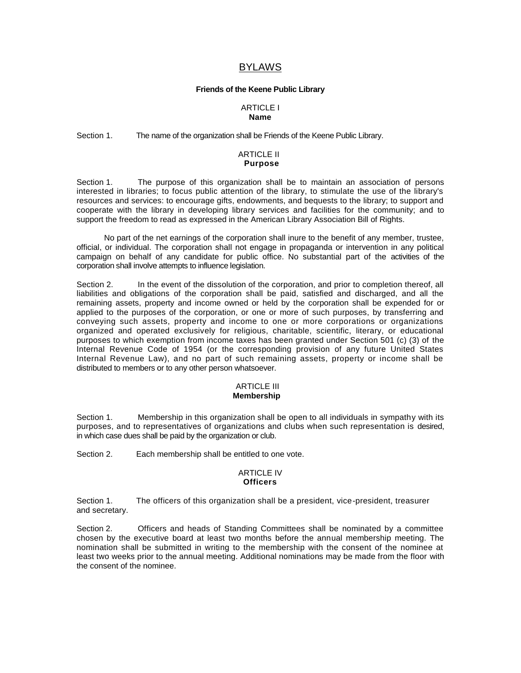# BYLAWS

### **Friends of the Keene Public Library**

# ARTICLE I **Name**

## Section 1. The name of the organization shall be Friends of the Keene Public Library.

#### ARTICLE II **Purpose**

Section 1. The purpose of this organization shall be to maintain an association of persons interested in libraries; to focus public attention of the library, to stimulate the use of the library's resources and services: to encourage gifts, endowments, and bequests to the library; to support and cooperate with the library in developing library services and facilities for the community; and to support the freedom to read as expressed in the American Library Association Bill of Rights.

No part of the net earnings of the corporation shall inure to the benefit of any member, trustee, official, or individual. The corporation shall not engage in propaganda or intervention in any political campaign on behalf of any candidate for public office. No substantial part of the activities of the corporation shall involve attempts to influence legislation.

Section 2. In the event of the dissolution of the corporation, and prior to completion thereof, all liabilities and obligations of the corporation shall be paid, satisfied and discharged, and all the remaining assets, property and income owned or held by the corporation shall be expended for or applied to the purposes of the corporation, or one or more of such purposes, by transferring and conveying such assets, property and income to one or more corporations or organizations organized and operated exclusively for religious, charitable, scientific, literary, or educational purposes to which exemption from income taxes has been granted under Section 501 (c) (3) of the Internal Revenue Code of 1954 (or the corresponding provision of any future United States Internal Revenue Law), and no part of such remaining assets, property or income shall be distributed to members or to any other person whatsoever.

### ARTICLE III **Membership**

Section 1. Membership in this organization shall be open to all individuals in sympathy with its purposes, and to representatives of organizations and clubs when such representation is desired, in which case dues shall be paid by the organization or club.

Section 2. Each membership shall be entitled to one vote.

### ARTICLE IV **Officers**

Section 1. The officers of this organization shall be a president, vice-president, treasurer and secretary.

Section 2. Officers and heads of Standing Committees shall be nominated by a committee chosen by the executive board at least two months before the annual membership meeting. The nomination shall be submitted in writing to the membership with the consent of the nominee at least two weeks prior to the annual meeting. Additional nominations may be made from the floor with the consent of the nominee.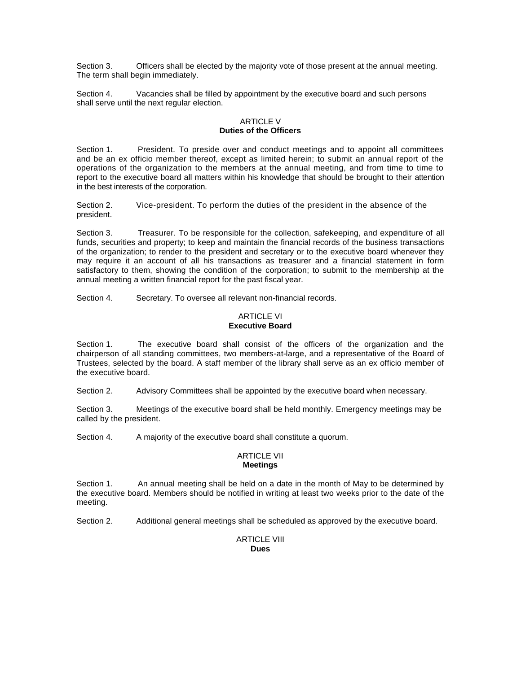Section 3. Officers shall be elected by the majority vote of those present at the annual meeting. The term shall begin immediately.

Section 4. Vacancies shall be filled by appointment by the executive board and such persons shall serve until the next regular election.

# ARTICLE V **Duties of the Officers**

Section 1. President. To preside over and conduct meetings and to appoint all committees and be an ex officio member thereof, except as limited herein; to submit an annual report of the operations of the organization to the members at the annual meeting, and from time to time to report to the executive board all matters within his knowledge that should be brought to their attention in the best interests of the corporation.

Section 2. Vice-president. To perform the duties of the president in the absence of the president.

Section 3. Treasurer. To be responsible for the collection, safekeeping, and expenditure of all funds, securities and property; to keep and maintain the financial records of the business transactions of the organization; to render to the president and secretary or to the executive board whenever they may require it an account of all his transactions as treasurer and a financial statement in form satisfactory to them, showing the condition of the corporation; to submit to the membership at the annual meeting a written financial report for the past fiscal year.

Section 4. Secretary. To oversee all relevant non-financial records.

# ARTICLE VI **Executive Board**

Section 1. The executive board shall consist of the officers of the organization and the chairperson of all standing committees, two members-at-large, and a representative of the Board of Trustees, selected by the board. A staff member of the library shall serve as an ex officio member of the executive board.

Section 2. Advisory Committees shall be appointed by the executive board when necessary.

Section 3. Meetings of the executive board shall be held monthly. Emergency meetings may be called by the president.

Section 4. A majority of the executive board shall constitute a quorum.

## ARTICLE VII **Meetings**

Section 1. An annual meeting shall be held on a date in the month of May to be determined by the executive board. Members should be notified in writing at least two weeks prior to the date of the meeting.

Section 2. Additional general meetings shall be scheduled as approved by the executive board.

# ARTICLE VIII **Dues**